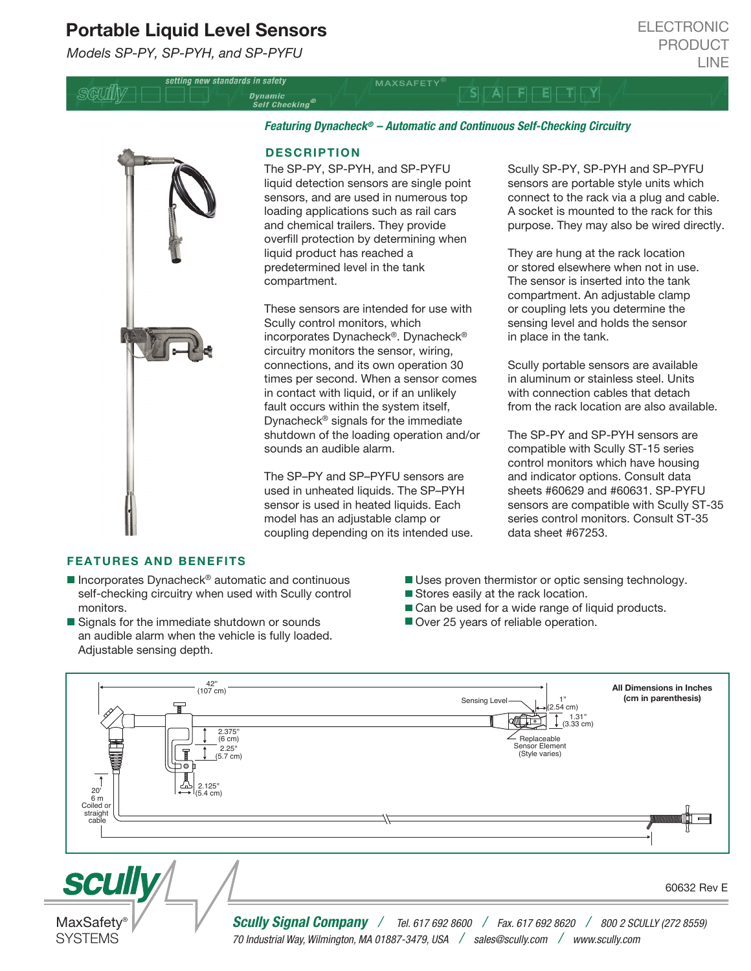# Portable Liquid Level Sensors

setting new standards in safety

*Models SP-PY, SP-PYH, and SP-PYFU*

SQUIN

*Featuring Dynacheck® – Automatic and Continuous Self-Checking Circuitry*

 $S_{\text{t}}$   $\sqrt{\mathsf{A}}$   $\boxed{\mathsf{F}}$   $\boxed{\mathsf{E}}$   $\boxed{\mathsf{T}}$   $\boxed{\mathsf{N}}$ 

### **DESCRIPTION**

Dynamic<br>Self Checking®

The SP-PY, SP-PYH, and SP-PYFU liquid detection sensors are single point sensors, and are used in numerous top loading applications such as rail cars and chemical trailers. They provide overfill protection by determining when liquid product has reached a predetermined level in the tank compartment.

These sensors are intended for use with Scully control monitors, which incorporates Dynacheck®. Dynacheck® circuitry monitors the sensor, wiring, connections, and its own operation 30 times per second. When a sensor comes in contact with liquid, or if an unlikely fault occurs within the system itself, Dynacheck® signals for the immediate shutdown of the loading operation and/or sounds an audible alarm.

The SP–PY and SP–PYFU sensors are used in unheated liquids. The SP–PYH sensor is used in heated liquids. Each model has an adjustable clamp or coupling depending on its intended use. Scully SP-PY, SP-PYH and SP–PYFU sensors are portable style units which connect to the rack via a plug and cable. A socket is mounted to the rack for this purpose. They may also be wired directly.

They are hung at the rack location or stored elsewhere when not in use. The sensor is inserted into the tank compartment. An adjustable clamp or coupling lets you determine the sensing level and holds the sensor in place in the tank.

Scully portable sensors are available in aluminum or stainless steel. Units with connection cables that detach from the rack location are also available.

The SP-PY and SP-PYH sensors are compatible with Scully ST-15 series control monitors which have housing and indicator options. Consult data sheets #60629 and #60631. SP-PYFU sensors are compatible with Scully ST-35 series control monitors. Consult ST-35 data sheet #67253.

#### FEATURES AND BENEFITS

**MaxSafety SYSTEMS** 

- $\blacksquare$  Incorporates Dynacheck<sup>®</sup> automatic and continuous self-checking circuitry when used with Scully control monitors.
- Signals for the immediate shutdown or sounds an audible alarm when the vehicle is fully loaded. Adjustable sensing depth.
- Uses proven thermistor or optic sensing technology.
- Stores easily at the rack location.
- Can be used for a wide range of liquid products.
- Over 25 years of reliable operation.



60632 Rev E

*Scully Signal Company / Tel. 617 692 8600 / Fax. 617 692 8620 / 800 2 SCULLY (272 8559) 70 Industrial Way, Wilmington, MA 01887-3479, USA / sales@scully.com / www.scully.com*